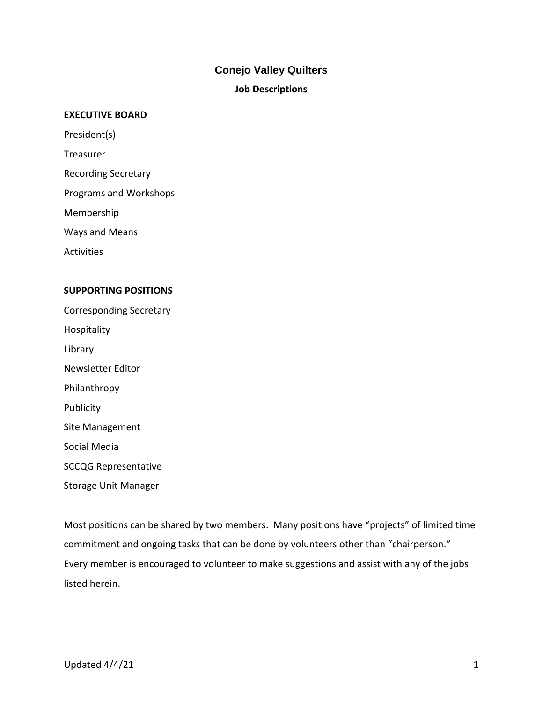### **Conejo Valley Quilters**

#### **Job Descriptions**

#### **EXECUTIVE BOARD**

President(s)

Treasurer

Recording Secretary

Programs and Workshops

Membership

Ways and Means

**Activities** 

#### **SUPPORTING POSITIONS**

Corresponding Secretary Hospitality Library Newsletter Editor Philanthropy **Publicity** Site Management Social Media SCCQG Representative Storage Unit Manager

Most positions can be shared by two members. Many positions have "projects" of limited time commitment and ongoing tasks that can be done by volunteers other than "chairperson." Every member is encouraged to volunteer to make suggestions and assist with any of the jobs listed herein.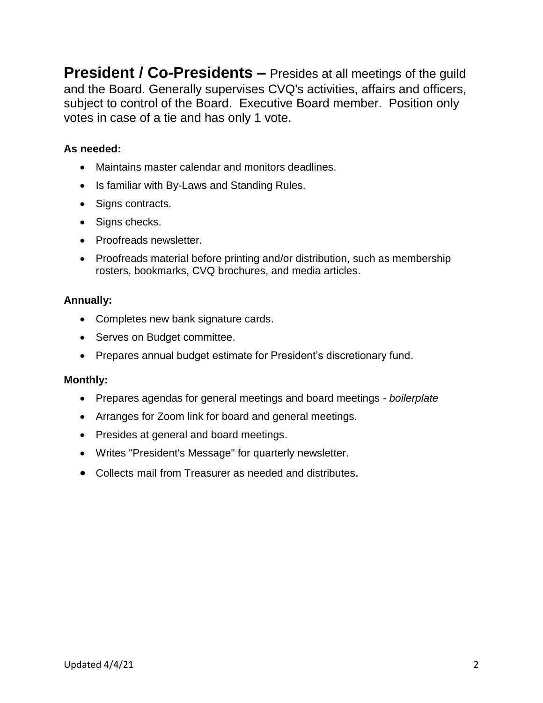**President / Co-Presidents –** Presides at all meetings of the quild and the Board. Generally supervises CVQ's activities, affairs and officers, subject to control of the Board. Executive Board member. Position only votes in case of a tie and has only 1 vote.

### **As needed:**

- Maintains master calendar and monitors deadlines.
- Is familiar with By-Laws and Standing Rules.
- Signs contracts.
- Signs checks.
- Proofreads newsletter.
- Proofreads material before printing and/or distribution, such as membership rosters, bookmarks, CVQ brochures, and media articles.

### **Annually:**

- Completes new bank signature cards.
- Serves on Budget committee.
- Prepares annual budget estimate for President's discretionary fund.

### **Monthly:**

- Prepares agendas for general meetings and board meetings *boilerplate*
- Arranges for Zoom link for board and general meetings.
- Presides at general and board meetings.
- Writes "President's Message" for quarterly newsletter.
- Collects mail from Treasurer as needed and distributes.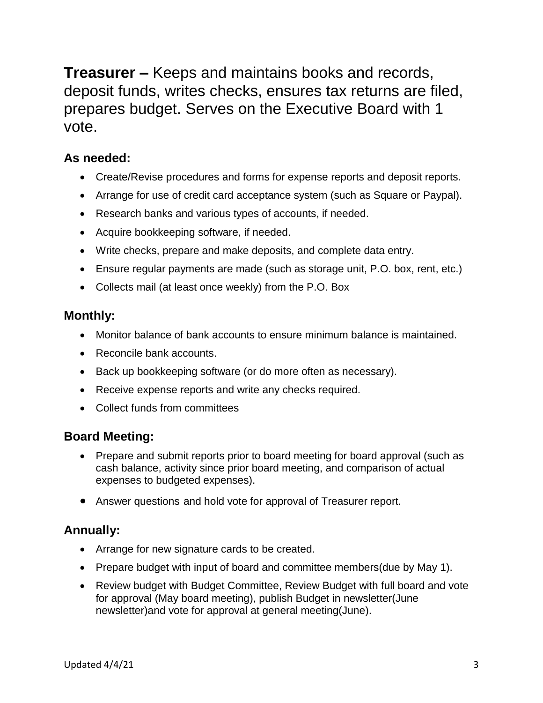**Treasurer –** Keeps and maintains books and records, deposit funds, writes checks, ensures tax returns are filed, prepares budget. Serves on the Executive Board with 1 vote.

### **As needed:**

- Create/Revise procedures and forms for expense reports and deposit reports.
- Arrange for use of credit card acceptance system (such as Square or Paypal).
- Research banks and various types of accounts, if needed.
- Acquire bookkeeping software, if needed.
- Write checks, prepare and make deposits, and complete data entry.
- Ensure regular payments are made (such as storage unit, P.O. box, rent, etc.)
- Collects mail (at least once weekly) from the P.O. Box

### **Monthly:**

- Monitor balance of bank accounts to ensure minimum balance is maintained.
- Reconcile bank accounts.
- Back up bookkeeping software (or do more often as necessary).
- Receive expense reports and write any checks required.
- Collect funds from committees

### **Board Meeting:**

- Prepare and submit reports prior to board meeting for board approval (such as cash balance, activity since prior board meeting, and comparison of actual expenses to budgeted expenses).
- Answer questions and hold vote for approval of Treasurer report.

### **Annually:**

- Arrange for new signature cards to be created.
- Prepare budget with input of board and committee members(due by May 1).
- Review budget with Budget Committee, Review Budget with full board and vote for approval (May board meeting), publish Budget in newsletter(June newsletter)and vote for approval at general meeting(June).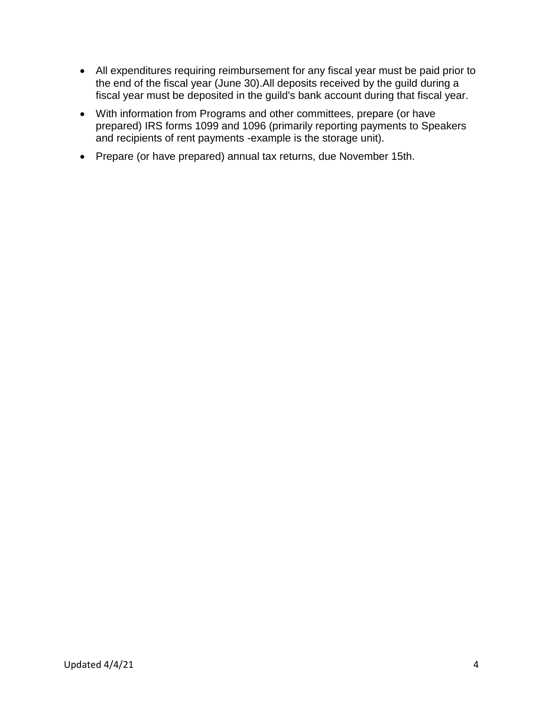- All expenditures requiring reimbursement for any fiscal year must be paid prior to the end of the fiscal year (June 30).All deposits received by the guild during a fiscal year must be deposited in the guild's bank account during that fiscal year.
- With information from Programs and other committees, prepare (or have prepared) IRS forms 1099 and 1096 (primarily reporting payments to Speakers and recipients of rent payments -example is the storage unit).
- Prepare (or have prepared) annual tax returns, due November 15th.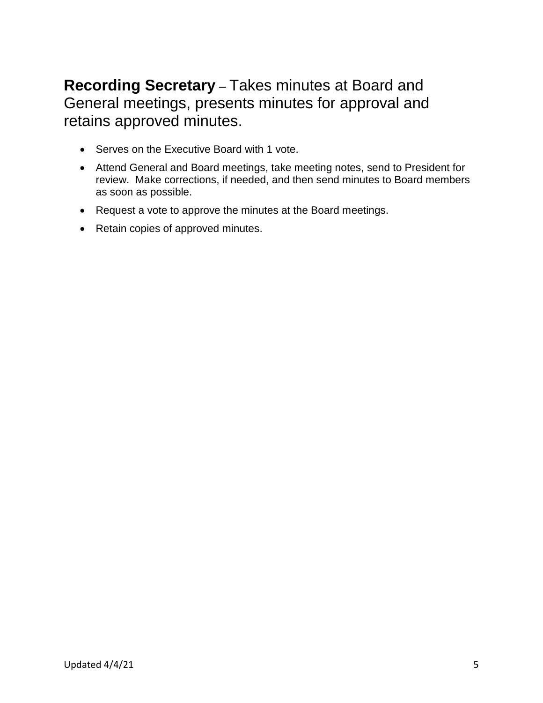## **Recording Secretary** – Takes minutes at Board and General meetings, presents minutes for approval and retains approved minutes.

- Serves on the Executive Board with 1 vote.
- Attend General and Board meetings, take meeting notes, send to President for review. Make corrections, if needed, and then send minutes to Board members as soon as possible.
- Request a vote to approve the minutes at the Board meetings.
- Retain copies of approved minutes.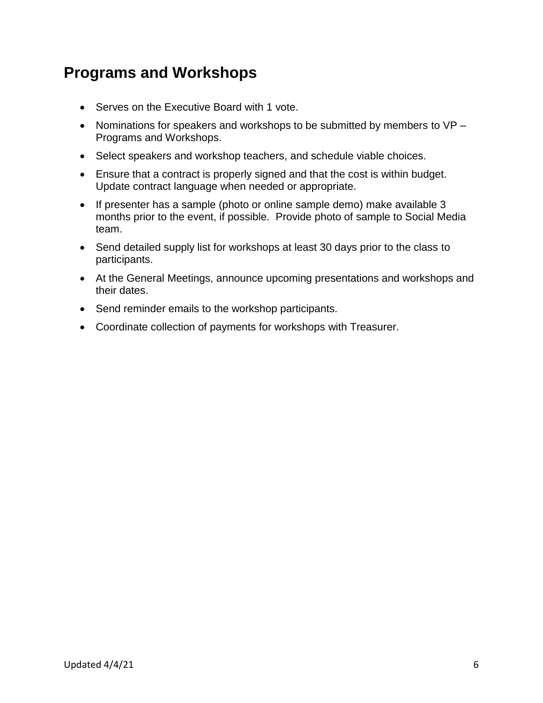## **Programs and Workshops**

- Serves on the Executive Board with 1 vote.
- Nominations for speakers and workshops to be submitted by members to VP Programs and Workshops.
- Select speakers and workshop teachers, and schedule viable choices.
- Ensure that a contract is properly signed and that the cost is within budget. Update contract language when needed or appropriate.
- If presenter has a sample (photo or online sample demo) make available 3 months prior to the event, if possible. Provide photo of sample to Social Media team.
- Send detailed supply list for workshops at least 30 days prior to the class to participants.
- At the General Meetings, announce upcoming presentations and workshops and their dates.
- Send reminder emails to the workshop participants.
- Coordinate collection of payments for workshops with Treasurer.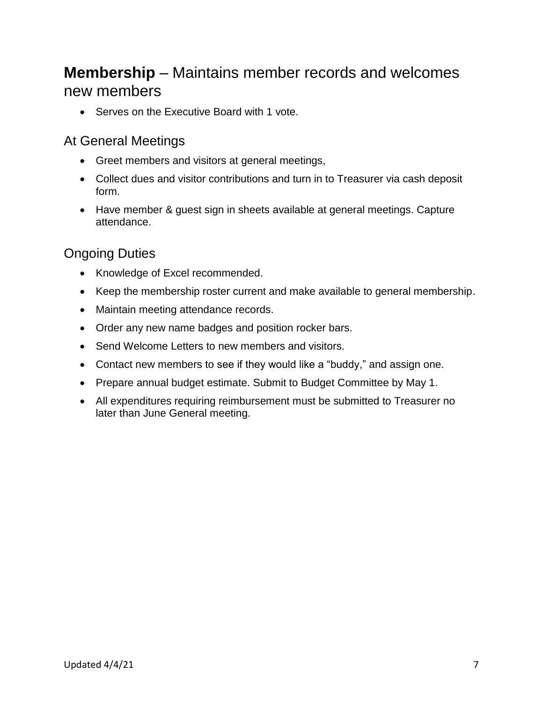## **Membership** – Maintains member records and welcomes new members

• Serves on the Executive Board with 1 vote.

### At General Meetings

- Greet members and visitors at general meetings,
- Collect dues and visitor contributions and turn in to Treasurer via cash deposit form.
- Have member & guest sign in sheets available at general meetings. Capture attendance.

### Ongoing Duties

- Knowledge of Excel recommended.
- Keep the membership roster current and make available to general membership.
- Maintain meeting attendance records.
- Order any new name badges and position rocker bars.
- Send Welcome Letters to new members and visitors.
- Contact new members to see if they would like a "buddy," and assign one.
- Prepare annual budget estimate. Submit to Budget Committee by May 1.
- All expenditures requiring reimbursement must be submitted to Treasurer no later than June General meeting.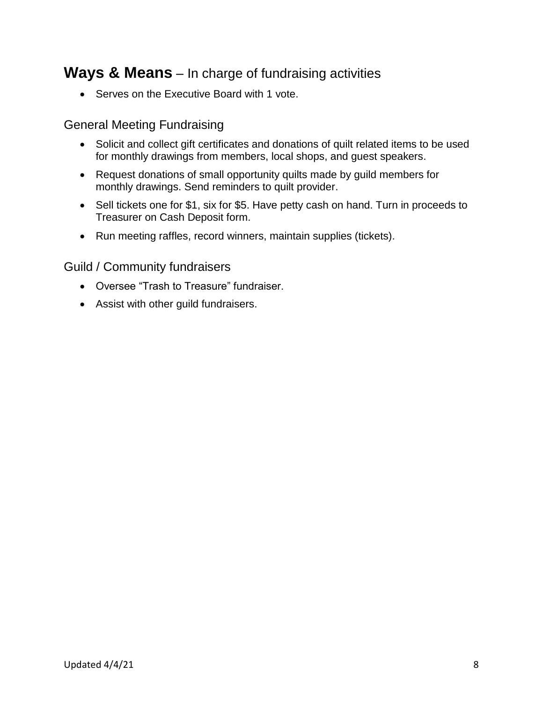## **Ways & Means** – In charge of fundraising activities

• Serves on the Executive Board with 1 vote.

### General Meeting Fundraising

- Solicit and collect gift certificates and donations of quilt related items to be used for monthly drawings from members, local shops, and guest speakers.
- Request donations of small opportunity quilts made by guild members for monthly drawings. Send reminders to quilt provider.
- Sell tickets one for \$1, six for \$5. Have petty cash on hand. Turn in proceeds to Treasurer on Cash Deposit form.
- Run meeting raffles, record winners, maintain supplies (tickets).

### Guild / Community fundraisers

- Oversee "Trash to Treasure" fundraiser.
- Assist with other guild fundraisers.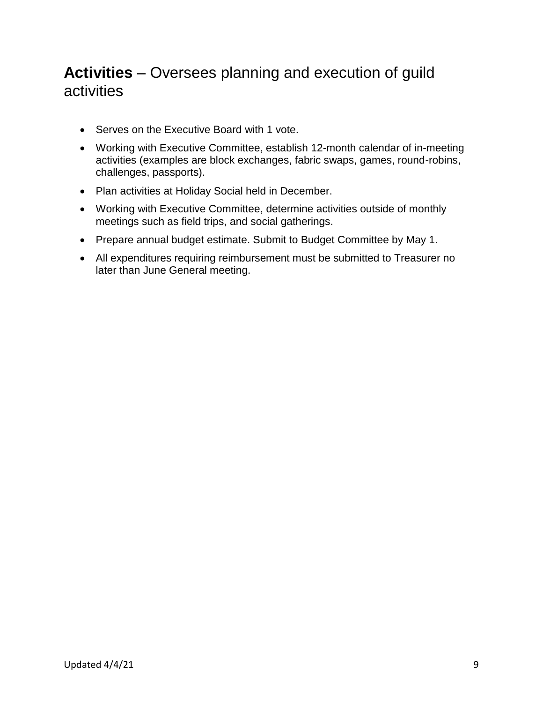# **Activities** – Oversees planning and execution of guild activities

- Serves on the Executive Board with 1 vote.
- Working with Executive Committee, establish 12-month calendar of in-meeting activities (examples are block exchanges, fabric swaps, games, round-robins, challenges, passports).
- Plan activities at Holiday Social held in December.
- Working with Executive Committee, determine activities outside of monthly meetings such as field trips, and social gatherings.
- Prepare annual budget estimate. Submit to Budget Committee by May 1.
- All expenditures requiring reimbursement must be submitted to Treasurer no later than June General meeting.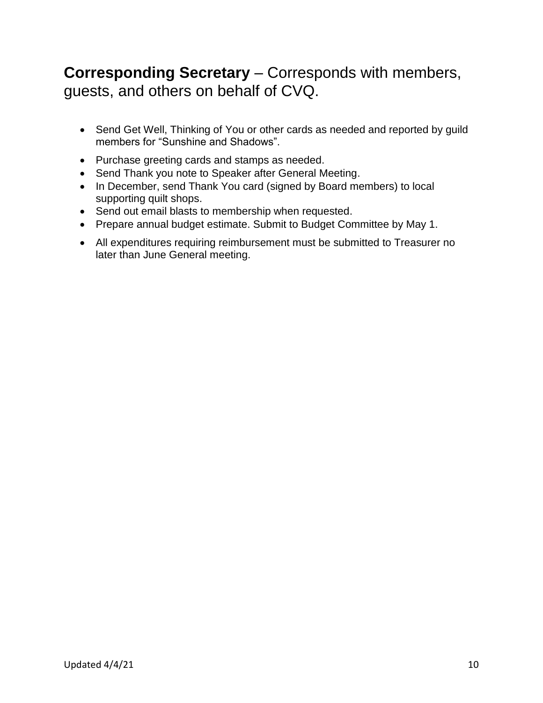# **Corresponding Secretary** – Corresponds with members, guests, and others on behalf of CVQ.

- Send Get Well, Thinking of You or other cards as needed and reported by guild members for "Sunshine and Shadows".
- Purchase greeting cards and stamps as needed.
- Send Thank you note to Speaker after General Meeting.
- In December, send Thank You card (signed by Board members) to local supporting quilt shops.
- Send out email blasts to membership when requested.
- Prepare annual budget estimate. Submit to Budget Committee by May 1.
- All expenditures requiring reimbursement must be submitted to Treasurer no later than June General meeting.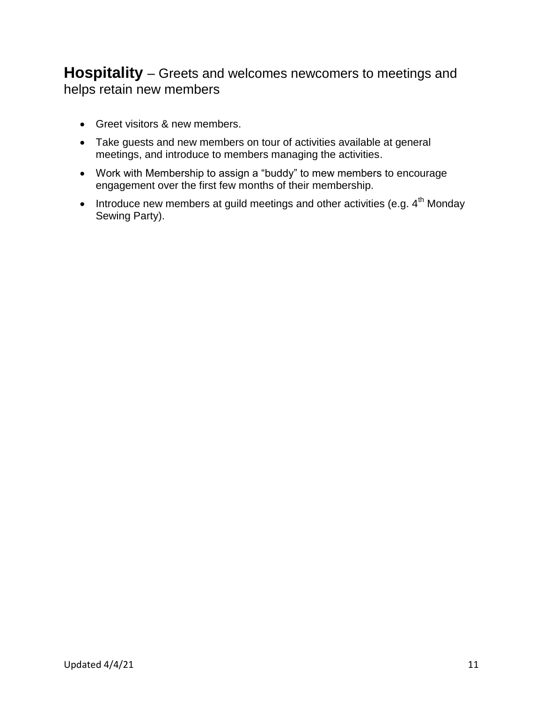## **Hospitality** – Greets and welcomes newcomers to meetings and helps retain new members

- Greet visitors & new members.
- Take guests and new members on tour of activities available at general meetings, and introduce to members managing the activities.
- Work with Membership to assign a "buddy" to mew members to encourage engagement over the first few months of their membership.
- $\bullet$  Introduce new members at guild meetings and other activities (e.g.  $4^\text{th}$  Monday Sewing Party).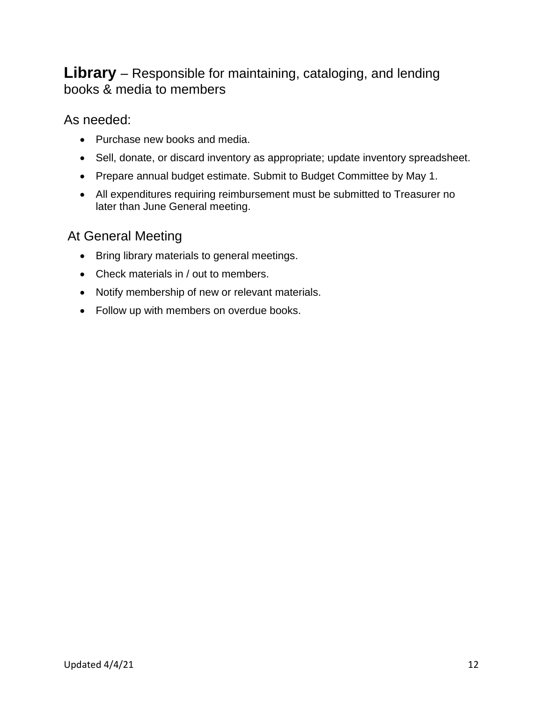## **Library** – Responsible for maintaining, cataloging, and lending books & media to members

As needed:

- Purchase new books and media.
- Sell, donate, or discard inventory as appropriate; update inventory spreadsheet.
- Prepare annual budget estimate. Submit to Budget Committee by May 1.
- All expenditures requiring reimbursement must be submitted to Treasurer no later than June General meeting.

### At General Meeting

- Bring library materials to general meetings.
- Check materials in / out to members.
- Notify membership of new or relevant materials.
- Follow up with members on overdue books.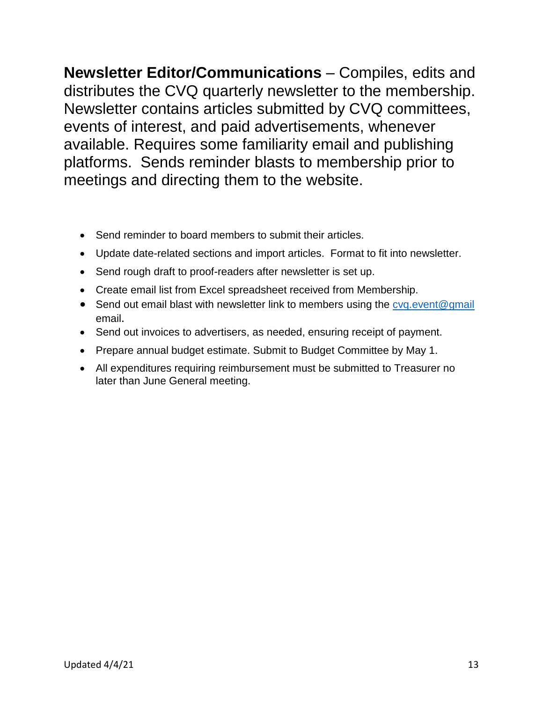**Newsletter Editor/Communications** – Compiles, edits and distributes the CVQ quarterly newsletter to the membership. Newsletter contains articles submitted by CVQ committees, events of interest, and paid advertisements, whenever available. Requires some familiarity email and publishing platforms. Sends reminder blasts to membership prior to meetings and directing them to the website.

- Send reminder to board members to submit their articles.
- Update date-related sections and import articles. Format to fit into newsletter.
- Send rough draft to proof-readers after newsletter is set up.
- Create email list from Excel spreadsheet received from Membership.
- Send out email blast with newsletter link to members using the cyq event@gmail email.
- Send out invoices to advertisers, as needed, ensuring receipt of payment.
- Prepare annual budget estimate. Submit to Budget Committee by May 1.
- All expenditures requiring reimbursement must be submitted to Treasurer no later than June General meeting.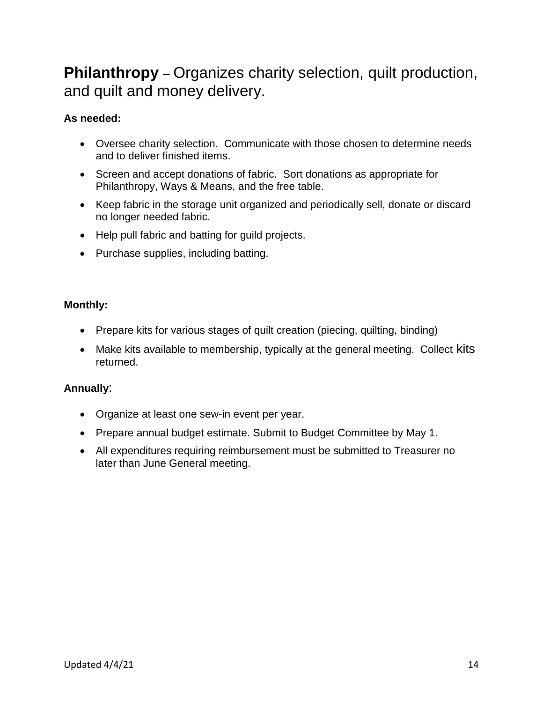## **Philanthropy** – Organizes charity selection, quilt production, and quilt and money delivery.

### **As needed:**

- Oversee charity selection. Communicate with those chosen to determine needs and to deliver finished items.
- Screen and accept donations of fabric. Sort donations as appropriate for Philanthropy, Ways & Means, and the free table.
- Keep fabric in the storage unit organized and periodically sell, donate or discard no longer needed fabric.
- Help pull fabric and batting for quild projects.
- Purchase supplies, including batting.

### **Monthly:**

- Prepare kits for various stages of quilt creation (piecing, quilting, binding)
- Make kits available to membership, typically at the general meeting. Collect kits returned.

### **Annually**:

- Organize at least one sew-in event per year.
- Prepare annual budget estimate. Submit to Budget Committee by May 1.
- All expenditures requiring reimbursement must be submitted to Treasurer no later than June General meeting.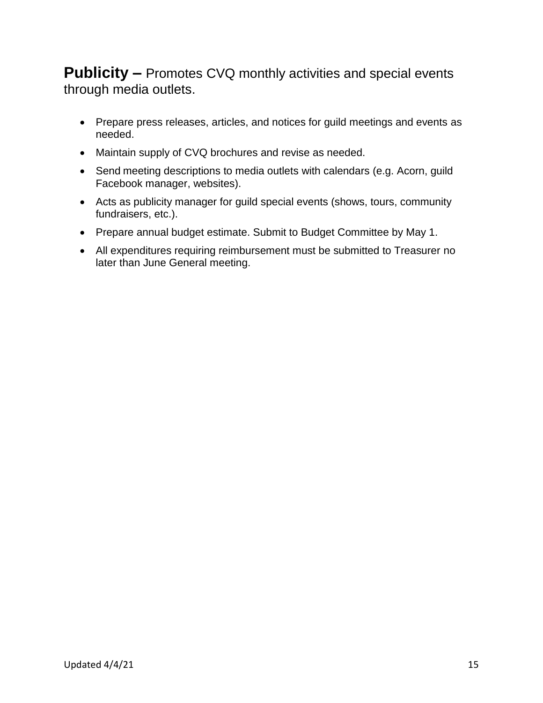**Publicity –** Promotes CVQ monthly activities and special events through media outlets.

- Prepare press releases, articles, and notices for guild meetings and events as needed.
- Maintain supply of CVQ brochures and revise as needed.
- Send meeting descriptions to media outlets with calendars (e.g. Acorn, guild Facebook manager, websites).
- Acts as publicity manager for guild special events (shows, tours, community fundraisers, etc.).
- Prepare annual budget estimate. Submit to Budget Committee by May 1.
- All expenditures requiring reimbursement must be submitted to Treasurer no later than June General meeting.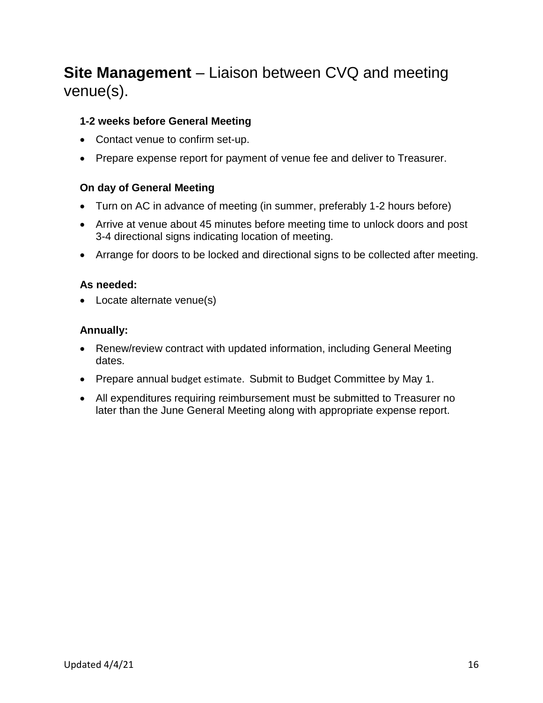# **Site Management** – Liaison between CVQ and meeting venue(s).

#### **1-2 weeks before General Meeting**

- Contact venue to confirm set-up.
- Prepare expense report for payment of venue fee and deliver to Treasurer.

#### **On day of General Meeting**

- Turn on AC in advance of meeting (in summer, preferably 1-2 hours before)
- Arrive at venue about 45 minutes before meeting time to unlock doors and post 3-4 directional signs indicating location of meeting.
- Arrange for doors to be locked and directional signs to be collected after meeting.

#### **As needed:**

• Locate alternate venue(s)

#### **Annually:**

- Renew/review contract with updated information, including General Meeting dates.
- Prepare annual budget estimate. Submit to Budget Committee by May 1.
- All expenditures requiring reimbursement must be submitted to Treasurer no later than the June General Meeting along with appropriate expense report.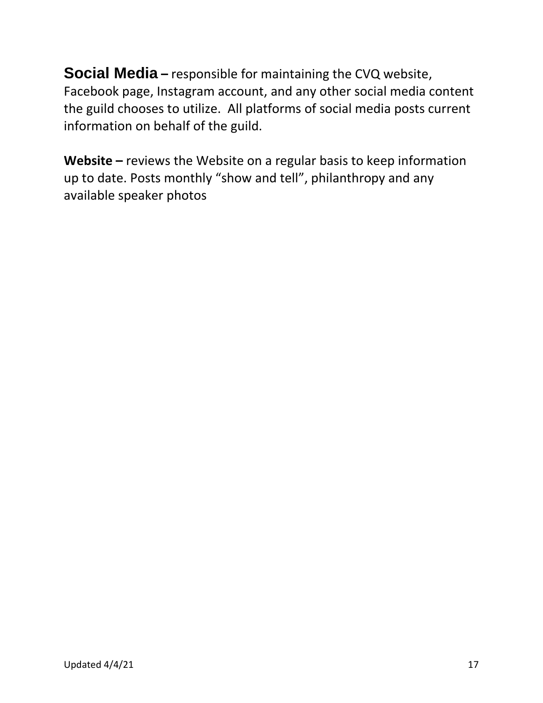**Social Media** – responsible for maintaining the CVQ website, Facebook page, Instagram account, and any other social media content the guild chooses to utilize. All platforms of social media posts current information on behalf of the guild.

**Website –** reviews the Website on a regular basis to keep information up to date. Posts monthly "show and tell", philanthropy and any available speaker photos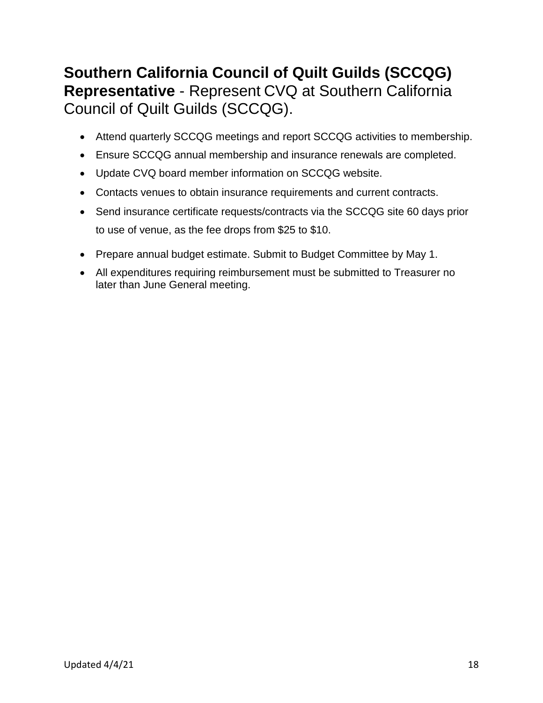## **Southern California Council of Quilt Guilds (SCCQG) Representative** - Represent CVQ at Southern California Council of Quilt Guilds (SCCQG).

- Attend quarterly SCCQG meetings and report SCCQG activities to membership.
- Ensure SCCQG annual membership and insurance renewals are completed.
- Update CVQ board member information on SCCQG website.
- Contacts venues to obtain insurance requirements and current contracts.
- Send insurance certificate requests/contracts via the SCCQG site 60 days prior to use of venue, as the fee drops from \$25 to \$10.
- Prepare annual budget estimate. Submit to Budget Committee by May 1.
- All expenditures requiring reimbursement must be submitted to Treasurer no later than June General meeting.